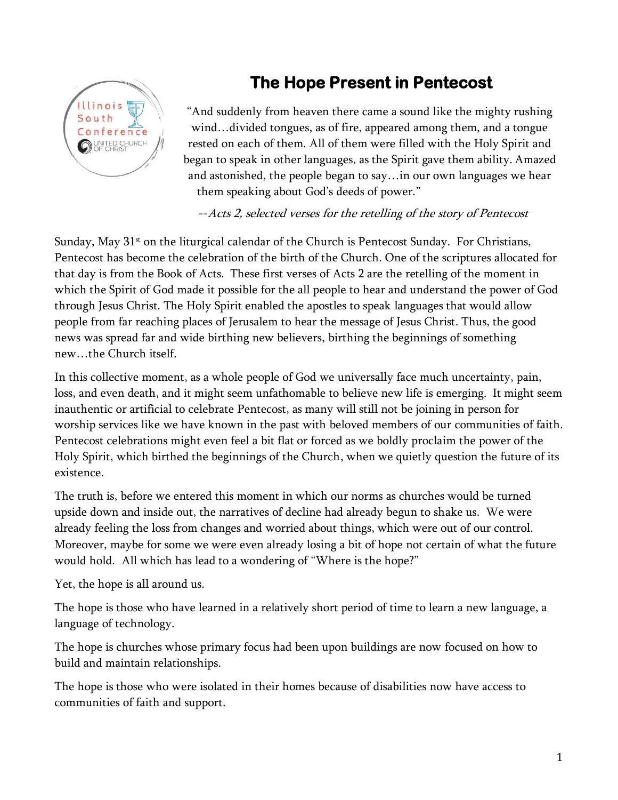## **The Hope Present in Pentecost**



"And suddenly from heaven there came a sound like the mighty rushing wind…divided tongues, as of fire, appeared among them, and a tongue rested on each of them. All of them were filled with the Holy Spirit and began to speak in other languages, as the Spirit gave them ability. Amazed and astonished, the people began to say…in our own languages we hear them speaking about God's deeds of power."

## --Acts 2, selected verses for the retelling of the story of Pentecost

Sunday, May  $31<sup>st</sup>$  on the liturgical calendar of the Church is Pentecost Sunday. For Christians, Pentecost has become the celebration of the birth of the Church. One of the scriptures allocated for that day is from the Book of Acts. These first verses of Acts 2 are the retelling of the moment in which the Spirit of God made it possible for the all people to hear and understand the power of God through Jesus Christ. The Holy Spirit enabled the apostles to speak languages that would allow people from far reaching places of Jerusalem to hear the message of Jesus Christ. Thus, the good news was spread far and wide birthing new believers, birthing the beginnings of something new…the Church itself.

In this collective moment, as a whole people of God we universally face much uncertainty, pain, loss, and even death, and it might seem unfathomable to believe new life is emerging. It might seem inauthentic or artificial to celebrate Pentecost, as many will still not be joining in person for worship services like we have known in the past with beloved members of our communities of faith. Pentecost celebrations might even feel a bit flat or forced as we boldly proclaim the power of the Holy Spirit, which birthed the beginnings of the Church, when we quietly question the future of its existence.

The truth is, before we entered this moment in which our norms as churches would be turned upside down and inside out, the narratives of decline had already begun to shake us. We were already feeling the loss from changes and worried about things, which were out of our control. Moreover, maybe for some we were even already losing a bit of hope not certain of what the future would hold. All which has lead to a wondering of "Where is the hope?"

Yet, the hope is all around us.

The hope is those who have learned in a relatively short period of time to learn a new language, a language of technology.

The hope is churches whose primary focus had been upon buildings are now focused on how to build and maintain relationships.

The hope is those who were isolated in their homes because of disabilities now have access to communities of faith and support.